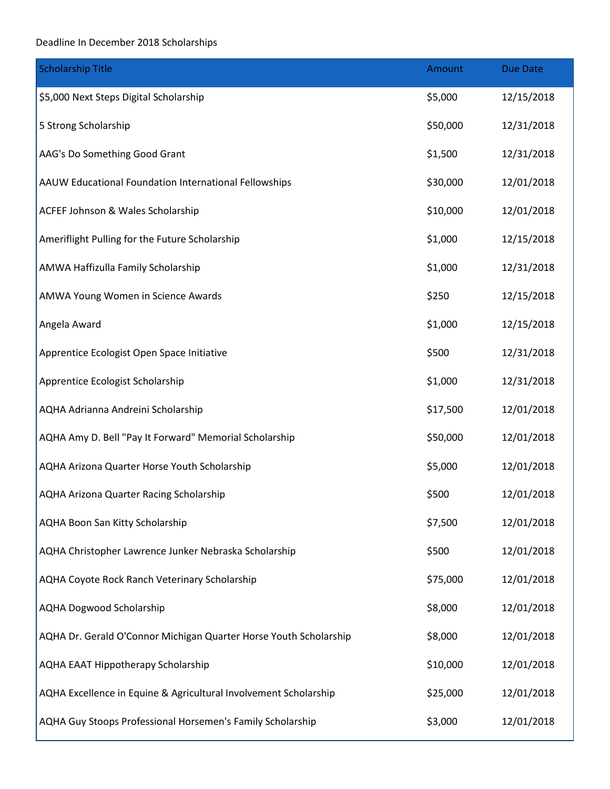## Deadline In December 2018 Scholarships

| <b>Scholarship Title</b>                                          | Amount   | <b>Due Date</b> |
|-------------------------------------------------------------------|----------|-----------------|
| \$5,000 Next Steps Digital Scholarship                            | \$5,000  | 12/15/2018      |
| 5 Strong Scholarship                                              | \$50,000 | 12/31/2018      |
| AAG's Do Something Good Grant                                     | \$1,500  | 12/31/2018      |
| AAUW Educational Foundation International Fellowships             | \$30,000 | 12/01/2018      |
| ACFEF Johnson & Wales Scholarship                                 | \$10,000 | 12/01/2018      |
| Ameriflight Pulling for the Future Scholarship                    | \$1,000  | 12/15/2018      |
| AMWA Haffizulla Family Scholarship                                | \$1,000  | 12/31/2018      |
| AMWA Young Women in Science Awards                                | \$250    | 12/15/2018      |
| Angela Award                                                      | \$1,000  | 12/15/2018      |
| Apprentice Ecologist Open Space Initiative                        | \$500    | 12/31/2018      |
| Apprentice Ecologist Scholarship                                  | \$1,000  | 12/31/2018      |
| AQHA Adrianna Andreini Scholarship                                | \$17,500 | 12/01/2018      |
| AQHA Amy D. Bell "Pay It Forward" Memorial Scholarship            | \$50,000 | 12/01/2018      |
| AQHA Arizona Quarter Horse Youth Scholarship                      | \$5,000  | 12/01/2018      |
| AQHA Arizona Quarter Racing Scholarship                           | \$500    | 12/01/2018      |
| AQHA Boon San Kitty Scholarship                                   | \$7,500  | 12/01/2018      |
| AQHA Christopher Lawrence Junker Nebraska Scholarship             | \$500    | 12/01/2018      |
| AQHA Coyote Rock Ranch Veterinary Scholarship                     | \$75,000 | 12/01/2018      |
| <b>AQHA Dogwood Scholarship</b>                                   | \$8,000  | 12/01/2018      |
| AQHA Dr. Gerald O'Connor Michigan Quarter Horse Youth Scholarship | \$8,000  | 12/01/2018      |
| <b>AQHA EAAT Hippotherapy Scholarship</b>                         | \$10,000 | 12/01/2018      |
| AQHA Excellence in Equine & Agricultural Involvement Scholarship  | \$25,000 | 12/01/2018      |
| AQHA Guy Stoops Professional Horsemen's Family Scholarship        | \$3,000  | 12/01/2018      |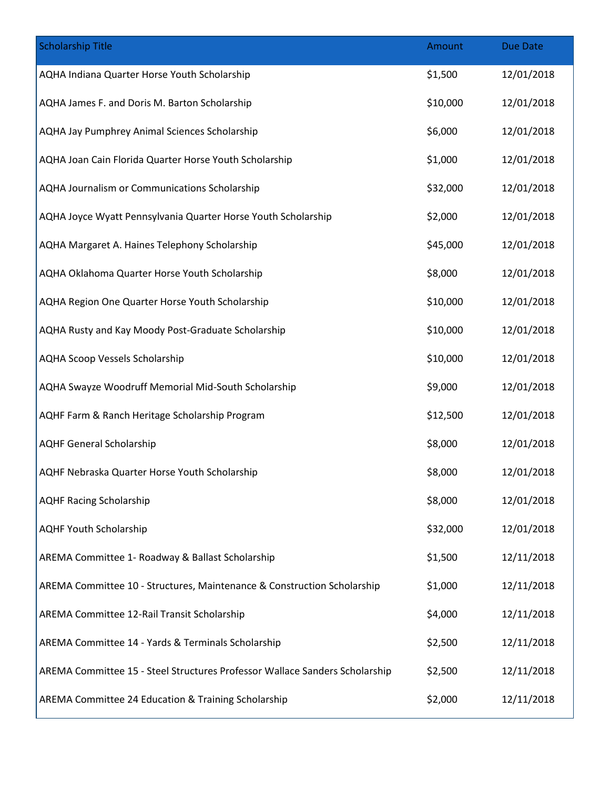| <b>Scholarship Title</b>                                                    | Amount   | <b>Due Date</b> |
|-----------------------------------------------------------------------------|----------|-----------------|
| AQHA Indiana Quarter Horse Youth Scholarship                                | \$1,500  | 12/01/2018      |
| AQHA James F. and Doris M. Barton Scholarship                               | \$10,000 | 12/01/2018      |
| AQHA Jay Pumphrey Animal Sciences Scholarship                               | \$6,000  | 12/01/2018      |
| AQHA Joan Cain Florida Quarter Horse Youth Scholarship                      | \$1,000  | 12/01/2018      |
| AQHA Journalism or Communications Scholarship                               | \$32,000 | 12/01/2018      |
| AQHA Joyce Wyatt Pennsylvania Quarter Horse Youth Scholarship               | \$2,000  | 12/01/2018      |
| AQHA Margaret A. Haines Telephony Scholarship                               | \$45,000 | 12/01/2018      |
| AQHA Oklahoma Quarter Horse Youth Scholarship                               | \$8,000  | 12/01/2018      |
| AQHA Region One Quarter Horse Youth Scholarship                             | \$10,000 | 12/01/2018      |
| AQHA Rusty and Kay Moody Post-Graduate Scholarship                          | \$10,000 | 12/01/2018      |
| <b>AQHA Scoop Vessels Scholarship</b>                                       | \$10,000 | 12/01/2018      |
| AQHA Swayze Woodruff Memorial Mid-South Scholarship                         | \$9,000  | 12/01/2018      |
| AQHF Farm & Ranch Heritage Scholarship Program                              | \$12,500 | 12/01/2018      |
| <b>AQHF General Scholarship</b>                                             | \$8,000  | 12/01/2018      |
| AQHF Nebraska Quarter Horse Youth Scholarship                               | \$8,000  | 12/01/2018      |
| <b>AQHF Racing Scholarship</b>                                              | \$8,000  | 12/01/2018      |
| <b>AQHF Youth Scholarship</b>                                               | \$32,000 | 12/01/2018      |
| AREMA Committee 1- Roadway & Ballast Scholarship                            | \$1,500  | 12/11/2018      |
| AREMA Committee 10 - Structures, Maintenance & Construction Scholarship     | \$1,000  | 12/11/2018      |
| AREMA Committee 12-Rail Transit Scholarship                                 | \$4,000  | 12/11/2018      |
| AREMA Committee 14 - Yards & Terminals Scholarship                          | \$2,500  | 12/11/2018      |
| AREMA Committee 15 - Steel Structures Professor Wallace Sanders Scholarship | \$2,500  | 12/11/2018      |
| AREMA Committee 24 Education & Training Scholarship                         | \$2,000  | 12/11/2018      |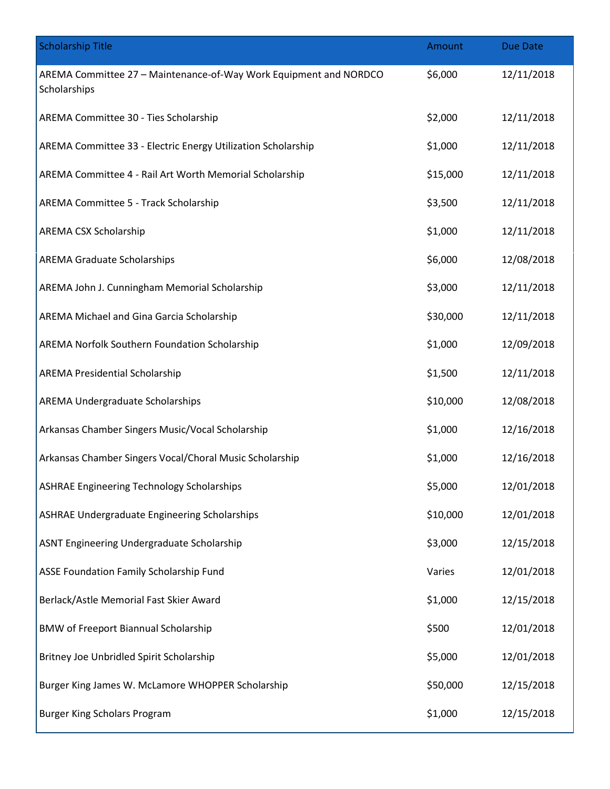| <b>Scholarship Title</b>                                                          | Amount   | <b>Due Date</b> |
|-----------------------------------------------------------------------------------|----------|-----------------|
| AREMA Committee 27 - Maintenance-of-Way Work Equipment and NORDCO<br>Scholarships | \$6,000  | 12/11/2018      |
| AREMA Committee 30 - Ties Scholarship                                             | \$2,000  | 12/11/2018      |
| AREMA Committee 33 - Electric Energy Utilization Scholarship                      | \$1,000  | 12/11/2018      |
| AREMA Committee 4 - Rail Art Worth Memorial Scholarship                           | \$15,000 | 12/11/2018      |
| AREMA Committee 5 - Track Scholarship                                             | \$3,500  | 12/11/2018      |
| AREMA CSX Scholarship                                                             | \$1,000  | 12/11/2018      |
| <b>AREMA Graduate Scholarships</b>                                                | \$6,000  | 12/08/2018      |
| AREMA John J. Cunningham Memorial Scholarship                                     | \$3,000  | 12/11/2018      |
| AREMA Michael and Gina Garcia Scholarship                                         | \$30,000 | 12/11/2018      |
| AREMA Norfolk Southern Foundation Scholarship                                     | \$1,000  | 12/09/2018      |
| <b>AREMA Presidential Scholarship</b>                                             | \$1,500  | 12/11/2018      |
| AREMA Undergraduate Scholarships                                                  | \$10,000 | 12/08/2018      |
| Arkansas Chamber Singers Music/Vocal Scholarship                                  | \$1,000  | 12/16/2018      |
| Arkansas Chamber Singers Vocal/Choral Music Scholarship                           | \$1,000  | 12/16/2018      |
| <b>ASHRAE Engineering Technology Scholarships</b>                                 | \$5,000  | 12/01/2018      |
| <b>ASHRAE Undergraduate Engineering Scholarships</b>                              | \$10,000 | 12/01/2018      |
| ASNT Engineering Undergraduate Scholarship                                        | \$3,000  | 12/15/2018      |
| ASSE Foundation Family Scholarship Fund                                           | Varies   | 12/01/2018      |
| Berlack/Astle Memorial Fast Skier Award                                           | \$1,000  | 12/15/2018      |
| <b>BMW of Freeport Biannual Scholarship</b>                                       | \$500    | 12/01/2018      |
| Britney Joe Unbridled Spirit Scholarship                                          | \$5,000  | 12/01/2018      |
| Burger King James W. McLamore WHOPPER Scholarship                                 | \$50,000 | 12/15/2018      |
| <b>Burger King Scholars Program</b>                                               | \$1,000  | 12/15/2018      |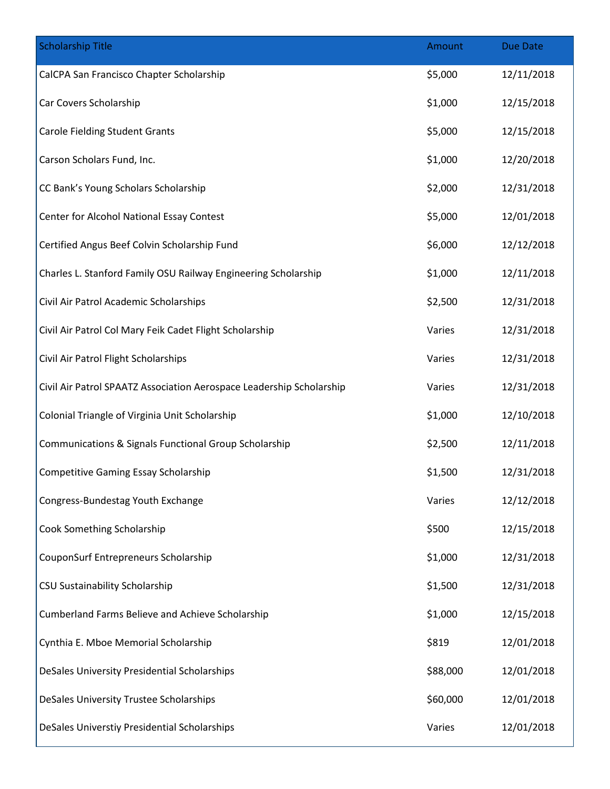| <b>Scholarship Title</b>                                             | Amount   | Due Date   |
|----------------------------------------------------------------------|----------|------------|
| CalCPA San Francisco Chapter Scholarship                             | \$5,000  | 12/11/2018 |
| Car Covers Scholarship                                               | \$1,000  | 12/15/2018 |
| <b>Carole Fielding Student Grants</b>                                | \$5,000  | 12/15/2018 |
| Carson Scholars Fund, Inc.                                           | \$1,000  | 12/20/2018 |
| CC Bank's Young Scholars Scholarship                                 | \$2,000  | 12/31/2018 |
| Center for Alcohol National Essay Contest                            | \$5,000  | 12/01/2018 |
| Certified Angus Beef Colvin Scholarship Fund                         | \$6,000  | 12/12/2018 |
| Charles L. Stanford Family OSU Railway Engineering Scholarship       | \$1,000  | 12/11/2018 |
| Civil Air Patrol Academic Scholarships                               | \$2,500  | 12/31/2018 |
| Civil Air Patrol Col Mary Feik Cadet Flight Scholarship              | Varies   | 12/31/2018 |
| Civil Air Patrol Flight Scholarships                                 | Varies   | 12/31/2018 |
| Civil Air Patrol SPAATZ Association Aerospace Leadership Scholarship | Varies   | 12/31/2018 |
| Colonial Triangle of Virginia Unit Scholarship                       | \$1,000  | 12/10/2018 |
| <b>Communications &amp; Signals Functional Group Scholarship</b>     | \$2,500  | 12/11/2018 |
| <b>Competitive Gaming Essay Scholarship</b>                          | \$1,500  | 12/31/2018 |
| Congress-Bundestag Youth Exchange                                    | Varies   | 12/12/2018 |
| Cook Something Scholarship                                           | \$500    | 12/15/2018 |
| <b>CouponSurf Entrepreneurs Scholarship</b>                          | \$1,000  | 12/31/2018 |
| CSU Sustainability Scholarship                                       | \$1,500  | 12/31/2018 |
| Cumberland Farms Believe and Achieve Scholarship                     | \$1,000  | 12/15/2018 |
| Cynthia E. Mboe Memorial Scholarship                                 | \$819    | 12/01/2018 |
| DeSales University Presidential Scholarships                         | \$88,000 | 12/01/2018 |
| DeSales University Trustee Scholarships                              | \$60,000 | 12/01/2018 |
| DeSales Universtiy Presidential Scholarships                         | Varies   | 12/01/2018 |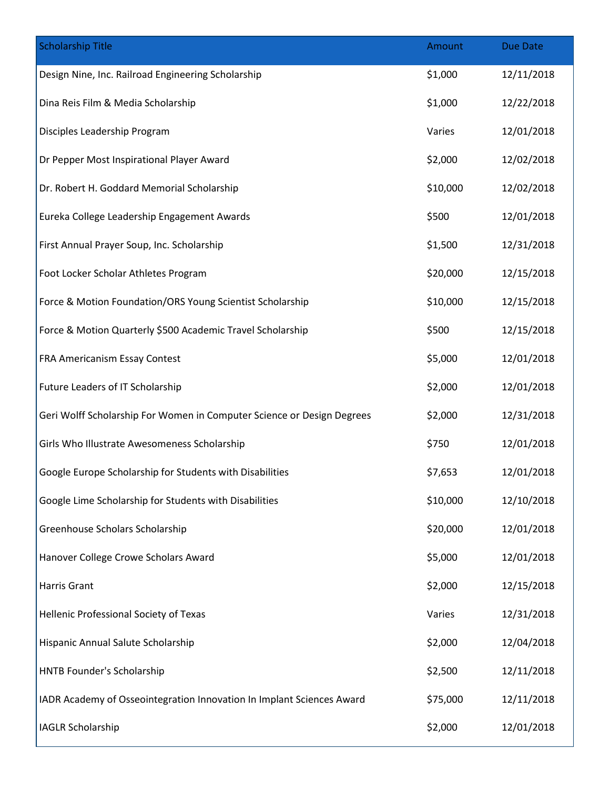| <b>Scholarship Title</b>                                               | Amount   | <b>Due Date</b> |
|------------------------------------------------------------------------|----------|-----------------|
| Design Nine, Inc. Railroad Engineering Scholarship                     | \$1,000  | 12/11/2018      |
| Dina Reis Film & Media Scholarship                                     | \$1,000  | 12/22/2018      |
| Disciples Leadership Program                                           | Varies   | 12/01/2018      |
| Dr Pepper Most Inspirational Player Award                              | \$2,000  | 12/02/2018      |
| Dr. Robert H. Goddard Memorial Scholarship                             | \$10,000 | 12/02/2018      |
| Eureka College Leadership Engagement Awards                            | \$500    | 12/01/2018      |
| First Annual Prayer Soup, Inc. Scholarship                             | \$1,500  | 12/31/2018      |
| Foot Locker Scholar Athletes Program                                   | \$20,000 | 12/15/2018      |
| Force & Motion Foundation/ORS Young Scientist Scholarship              | \$10,000 | 12/15/2018      |
| Force & Motion Quarterly \$500 Academic Travel Scholarship             | \$500    | 12/15/2018      |
| FRA Americanism Essay Contest                                          | \$5,000  | 12/01/2018      |
| Future Leaders of IT Scholarship                                       | \$2,000  | 12/01/2018      |
| Geri Wolff Scholarship For Women in Computer Science or Design Degrees | \$2,000  | 12/31/2018      |
| Girls Who Illustrate Awesomeness Scholarship                           | \$750    | 12/01/2018      |
| Google Europe Scholarship for Students with Disabilities               | \$7,653  | 12/01/2018      |
| Google Lime Scholarship for Students with Disabilities                 | \$10,000 | 12/10/2018      |
| Greenhouse Scholars Scholarship                                        | \$20,000 | 12/01/2018      |
| Hanover College Crowe Scholars Award                                   | \$5,000  | 12/01/2018      |
| Harris Grant                                                           | \$2,000  | 12/15/2018      |
| Hellenic Professional Society of Texas                                 | Varies   | 12/31/2018      |
| Hispanic Annual Salute Scholarship                                     | \$2,000  | 12/04/2018      |
| HNTB Founder's Scholarship                                             | \$2,500  | 12/11/2018      |
| IADR Academy of Osseointegration Innovation In Implant Sciences Award  | \$75,000 | 12/11/2018      |
| <b>IAGLR Scholarship</b>                                               | \$2,000  | 12/01/2018      |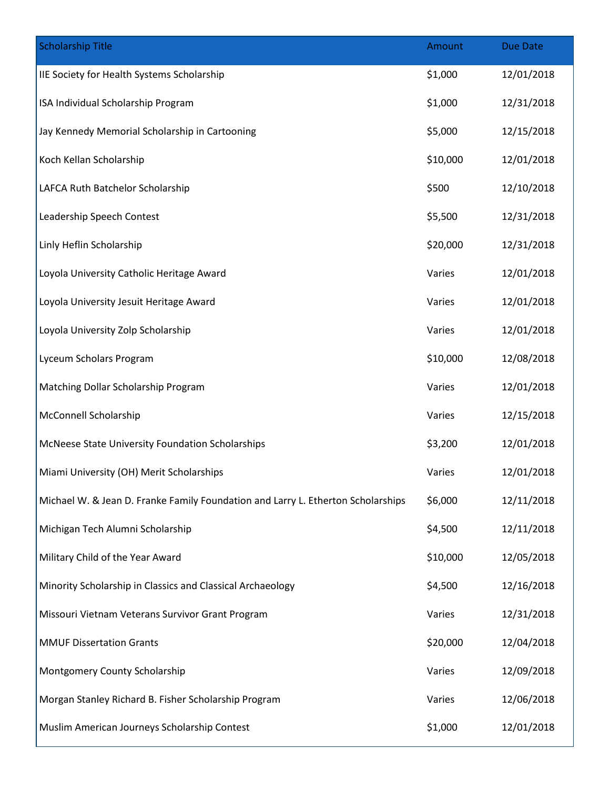| <b>Scholarship Title</b>                                                         | Amount   | <b>Due Date</b> |
|----------------------------------------------------------------------------------|----------|-----------------|
| IIE Society for Health Systems Scholarship                                       | \$1,000  | 12/01/2018      |
| ISA Individual Scholarship Program                                               | \$1,000  | 12/31/2018      |
| Jay Kennedy Memorial Scholarship in Cartooning                                   | \$5,000  | 12/15/2018      |
| Koch Kellan Scholarship                                                          | \$10,000 | 12/01/2018      |
| LAFCA Ruth Batchelor Scholarship                                                 | \$500    | 12/10/2018      |
| Leadership Speech Contest                                                        | \$5,500  | 12/31/2018      |
| Linly Heflin Scholarship                                                         | \$20,000 | 12/31/2018      |
| Loyola University Catholic Heritage Award                                        | Varies   | 12/01/2018      |
| Loyola University Jesuit Heritage Award                                          | Varies   | 12/01/2018      |
| Loyola University Zolp Scholarship                                               | Varies   | 12/01/2018      |
| Lyceum Scholars Program                                                          | \$10,000 | 12/08/2018      |
| Matching Dollar Scholarship Program                                              | Varies   | 12/01/2018      |
| <b>McConnell Scholarship</b>                                                     | Varies   | 12/15/2018      |
| McNeese State University Foundation Scholarships                                 | \$3,200  | 12/01/2018      |
| Miami University (OH) Merit Scholarships                                         | Varies   | 12/01/2018      |
| Michael W. & Jean D. Franke Family Foundation and Larry L. Etherton Scholarships | \$6,000  | 12/11/2018      |
| Michigan Tech Alumni Scholarship                                                 | \$4,500  | 12/11/2018      |
| Military Child of the Year Award                                                 | \$10,000 | 12/05/2018      |
| Minority Scholarship in Classics and Classical Archaeology                       | \$4,500  | 12/16/2018      |
| Missouri Vietnam Veterans Survivor Grant Program                                 | Varies   | 12/31/2018      |
| <b>MMUF Dissertation Grants</b>                                                  | \$20,000 | 12/04/2018      |
| Montgomery County Scholarship                                                    | Varies   | 12/09/2018      |
| Morgan Stanley Richard B. Fisher Scholarship Program                             | Varies   | 12/06/2018      |
| Muslim American Journeys Scholarship Contest                                     | \$1,000  | 12/01/2018      |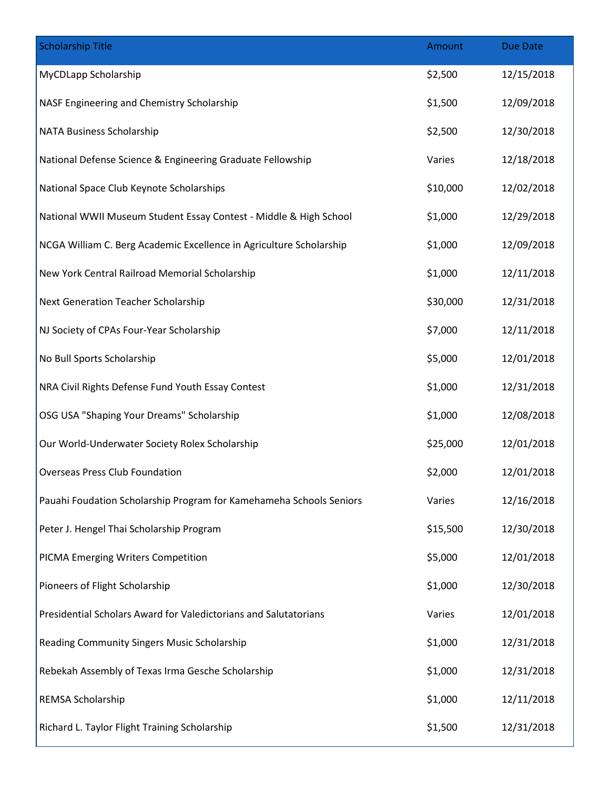| <b>Scholarship Title</b>                                            | Amount   | Due Date   |
|---------------------------------------------------------------------|----------|------------|
| MyCDLapp Scholarship                                                | \$2,500  | 12/15/2018 |
| NASF Engineering and Chemistry Scholarship                          | \$1,500  | 12/09/2018 |
| NATA Business Scholarship                                           | \$2,500  | 12/30/2018 |
| National Defense Science & Engineering Graduate Fellowship          | Varies   | 12/18/2018 |
| National Space Club Keynote Scholarships                            | \$10,000 | 12/02/2018 |
| National WWII Museum Student Essay Contest - Middle & High School   | \$1,000  | 12/29/2018 |
| NCGA William C. Berg Academic Excellence in Agriculture Scholarship | \$1,000  | 12/09/2018 |
| New York Central Railroad Memorial Scholarship                      | \$1,000  | 12/11/2018 |
| Next Generation Teacher Scholarship                                 | \$30,000 | 12/31/2018 |
| NJ Society of CPAs Four-Year Scholarship                            | \$7,000  | 12/11/2018 |
| No Bull Sports Scholarship                                          | \$5,000  | 12/01/2018 |
| NRA Civil Rights Defense Fund Youth Essay Contest                   | \$1,000  | 12/31/2018 |
| OSG USA "Shaping Your Dreams" Scholarship                           | \$1,000  | 12/08/2018 |
| Our World-Underwater Society Rolex Scholarship                      | \$25,000 | 12/01/2018 |
| <b>Overseas Press Club Foundation</b>                               | \$2,000  | 12/01/2018 |
| Pauahi Foudation Scholarship Program for Kamehameha Schools Seniors | Varies   | 12/16/2018 |
| Peter J. Hengel Thai Scholarship Program                            | \$15,500 | 12/30/2018 |
| PICMA Emerging Writers Competition                                  | \$5,000  | 12/01/2018 |
| Pioneers of Flight Scholarship                                      | \$1,000  | 12/30/2018 |
| Presidential Scholars Award for Valedictorians and Salutatorians    | Varies   | 12/01/2018 |
| Reading Community Singers Music Scholarship                         | \$1,000  | 12/31/2018 |
| Rebekah Assembly of Texas Irma Gesche Scholarship                   | \$1,000  | 12/31/2018 |
| REMSA Scholarship                                                   | \$1,000  | 12/11/2018 |
| Richard L. Taylor Flight Training Scholarship                       | \$1,500  | 12/31/2018 |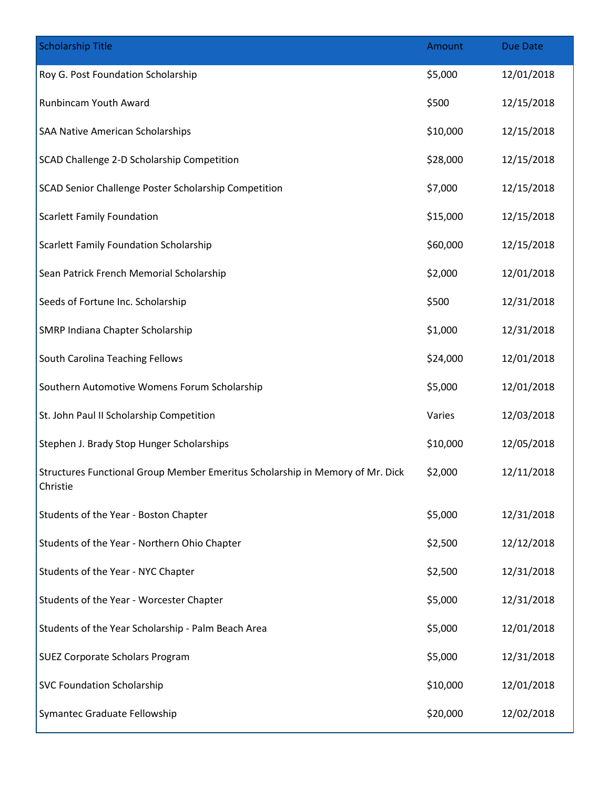| <b>Scholarship Title</b>                                                                  | Amount   | <b>Due Date</b> |
|-------------------------------------------------------------------------------------------|----------|-----------------|
| Roy G. Post Foundation Scholarship                                                        | \$5,000  | 12/01/2018      |
| Runbincam Youth Award                                                                     | \$500    | 12/15/2018      |
| SAA Native American Scholarships                                                          | \$10,000 | 12/15/2018      |
| SCAD Challenge 2-D Scholarship Competition                                                | \$28,000 | 12/15/2018      |
| SCAD Senior Challenge Poster Scholarship Competition                                      | \$7,000  | 12/15/2018      |
| <b>Scarlett Family Foundation</b>                                                         | \$15,000 | 12/15/2018      |
| Scarlett Family Foundation Scholarship                                                    | \$60,000 | 12/15/2018      |
| Sean Patrick French Memorial Scholarship                                                  | \$2,000  | 12/01/2018      |
| Seeds of Fortune Inc. Scholarship                                                         | \$500    | 12/31/2018      |
| SMRP Indiana Chapter Scholarship                                                          | \$1,000  | 12/31/2018      |
| South Carolina Teaching Fellows                                                           | \$24,000 | 12/01/2018      |
| Southern Automotive Womens Forum Scholarship                                              | \$5,000  | 12/01/2018      |
| St. John Paul II Scholarship Competition                                                  | Varies   | 12/03/2018      |
| Stephen J. Brady Stop Hunger Scholarships                                                 | \$10,000 | 12/05/2018      |
| Structures Functional Group Member Emeritus Scholarship in Memory of Mr. Dick<br>Christie | \$2,000  | 12/11/2018      |
| Students of the Year - Boston Chapter                                                     | \$5,000  | 12/31/2018      |
| Students of the Year - Northern Ohio Chapter                                              | \$2,500  | 12/12/2018      |
| Students of the Year - NYC Chapter                                                        | \$2,500  | 12/31/2018      |
| Students of the Year - Worcester Chapter                                                  | \$5,000  | 12/31/2018      |
| Students of the Year Scholarship - Palm Beach Area                                        | \$5,000  | 12/01/2018      |
| <b>SUEZ Corporate Scholars Program</b>                                                    | \$5,000  | 12/31/2018      |
| <b>SVC Foundation Scholarship</b>                                                         | \$10,000 | 12/01/2018      |
| Symantec Graduate Fellowship                                                              | \$20,000 | 12/02/2018      |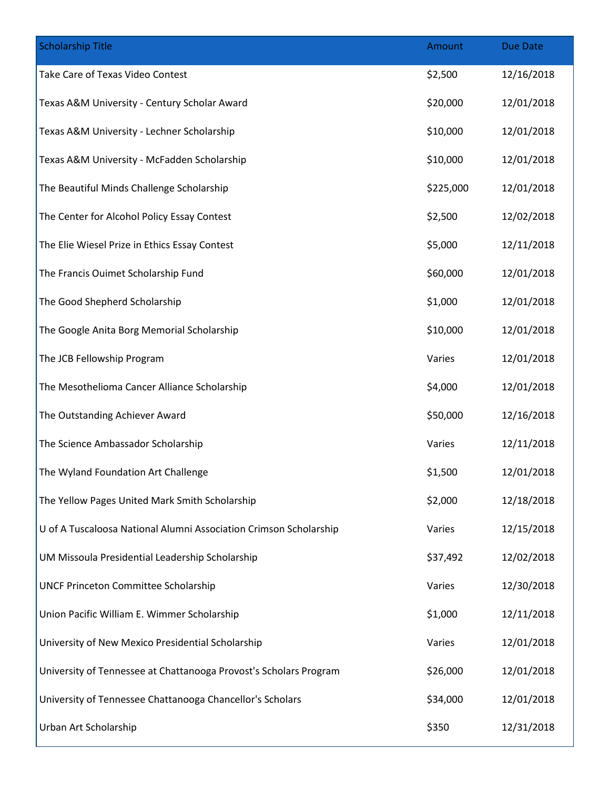| <b>Scholarship Title</b>                                          | Amount    | <b>Due Date</b> |
|-------------------------------------------------------------------|-----------|-----------------|
| Take Care of Texas Video Contest                                  | \$2,500   | 12/16/2018      |
| Texas A&M University - Century Scholar Award                      | \$20,000  | 12/01/2018      |
| Texas A&M University - Lechner Scholarship                        | \$10,000  | 12/01/2018      |
| Texas A&M University - McFadden Scholarship                       | \$10,000  | 12/01/2018      |
| The Beautiful Minds Challenge Scholarship                         | \$225,000 | 12/01/2018      |
| The Center for Alcohol Policy Essay Contest                       | \$2,500   | 12/02/2018      |
| The Elie Wiesel Prize in Ethics Essay Contest                     | \$5,000   | 12/11/2018      |
| The Francis Ouimet Scholarship Fund                               | \$60,000  | 12/01/2018      |
| The Good Shepherd Scholarship                                     | \$1,000   | 12/01/2018      |
| The Google Anita Borg Memorial Scholarship                        | \$10,000  | 12/01/2018      |
| The JCB Fellowship Program                                        | Varies    | 12/01/2018      |
| The Mesothelioma Cancer Alliance Scholarship                      | \$4,000   | 12/01/2018      |
| The Outstanding Achiever Award                                    | \$50,000  | 12/16/2018      |
| The Science Ambassador Scholarship                                | Varies    | 12/11/2018      |
| The Wyland Foundation Art Challenge                               | \$1,500   | 12/01/2018      |
| The Yellow Pages United Mark Smith Scholarship                    | \$2,000   | 12/18/2018      |
| U of A Tuscaloosa National Alumni Association Crimson Scholarship | Varies    | 12/15/2018      |
| UM Missoula Presidential Leadership Scholarship                   | \$37,492  | 12/02/2018      |
| <b>UNCF Princeton Committee Scholarship</b>                       | Varies    | 12/30/2018      |
| Union Pacific William E. Wimmer Scholarship                       | \$1,000   | 12/11/2018      |
| University of New Mexico Presidential Scholarship                 | Varies    | 12/01/2018      |
| University of Tennessee at Chattanooga Provost's Scholars Program | \$26,000  | 12/01/2018      |
| University of Tennessee Chattanooga Chancellor's Scholars         | \$34,000  | 12/01/2018      |
| Urban Art Scholarship                                             | \$350     | 12/31/2018      |